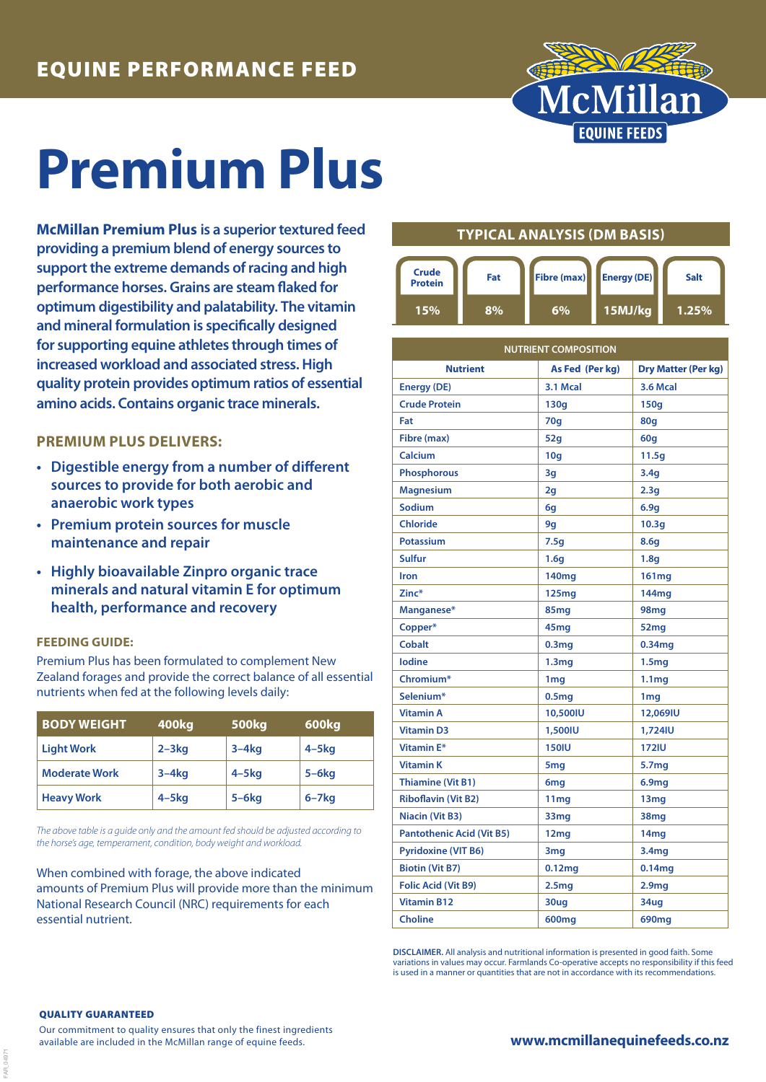

# **Premium Plus**

**McMillan Premium Plus is a superior textured feed providing a premium blend of energy sources to support the extreme demands of racing and high performance horses. Grains are steam flaked for optimum digestibility and palatability. The vitamin and mineral formulation is specifically designed for supporting equine athletes through times of increased workload and associated stress. High quality protein provides optimum ratios of essential amino acids. Contains organic trace minerals.**

### **PREMIUM PLUS DELIVERS:**

- **• Digestible energy from a number of different sources to provide for both aerobic and anaerobic work types**
- **• Premium protein sources for muscle maintenance and repair**
- **• Highly bioavailable Zinpro organic trace minerals and natural vitamin E for optimum health, performance and recovery**

#### **FEEDING GUIDE:**

Premium Plus has been formulated to complement New Zealand forages and provide the correct balance of all essential nutrients when fed at the following levels daily:

| <b>BODY WEIGHT</b>   | 400kg      | <b>500kg</b> | 600kg        |
|----------------------|------------|--------------|--------------|
| <b>Light Work</b>    | $2 - 3kg$  | $3-4kq$      | $4-5kq$      |
| <b>Moderate Work</b> | $3-4kq$    | $4 - 5$ kg   | $5-6kg$      |
| <b>Heavy Work</b>    | $4 - 5$ kg | $5-6kg$      | $6 - 7$ $kg$ |

*The above table is a guide only and the amount fed should be adjusted according to the horse's age, temperament, condition, body weight and workload.*

When combined with forage, the above indicated amounts of Premium Plus will provide more than the minimum National Research Council (NRC) requirements for each essential nutrient.

## **TYPICAL ANALYSIS (DM BASIS)**



| <b>NUTRIENT COMPOSITION</b>      |                    |                            |  |
|----------------------------------|--------------------|----------------------------|--|
| <b>Nutrient</b>                  | As Fed (Per kg)    | <b>Dry Matter (Per kg)</b> |  |
| <b>Energy (DE)</b>               | 3.1 Mcal           | <b>3.6 Mcal</b>            |  |
| <b>Crude Protein</b>             | 130q               | 150q                       |  |
| Fat                              | 70q                | 80q                        |  |
| Fibre (max)                      | 52q                | 60g                        |  |
| Calcium                          | 10 <sub>g</sub>    | 11.5q                      |  |
| <b>Phosphorous</b>               | 3g                 | 3.4q                       |  |
| <b>Magnesium</b>                 | 2g                 | 2.3 <sub>g</sub>           |  |
| Sodium                           | 6g                 | 6.9q                       |  |
| <b>Chloride</b>                  | 9g                 | 10.3 <sub>g</sub>          |  |
| <b>Potassium</b>                 | 7.5q               | 8.6g                       |  |
| <b>Sulfur</b>                    | 1.6g               | 1.8 <sub>q</sub>           |  |
| Iron                             | 140 <sub>mg</sub>  | 161mg                      |  |
| Zinc*                            | 125mg              | 144mg                      |  |
| Manganese*                       | 85mg               | 98mg                       |  |
| Copper*                          | 45 <sub>mg</sub>   | 52 <sub>mg</sub>           |  |
| <b>Cobalt</b>                    | 0.3 <sub>mg</sub>  | 0.34 <sub>mg</sub>         |  |
| lodine                           | 1.3 <sub>mg</sub>  | 1.5 <sub>mg</sub>          |  |
| Chromium*                        | 1 <sub>mg</sub>    | 1.1 <sub>mg</sub>          |  |
| Selenium*                        | 0.5 <sub>mg</sub>  | 1 <sub>mg</sub>            |  |
| <b>Vitamin A</b>                 | 10,500IU           | 12,069IU                   |  |
| <b>Vitamin D3</b>                | 1,500IU            | 1,724IU                    |  |
| <b>Vitamin E*</b>                | <b>150IU</b>       | <b>172IU</b>               |  |
| <b>Vitamin K</b>                 | 5 <sub>mg</sub>    | 5.7mg                      |  |
| <b>Thiamine (Vit B1)</b>         | 6 <sub>mg</sub>    | 6.9 <sub>mg</sub>          |  |
| <b>Riboflavin (Vit B2)</b>       | 11 <sub>mg</sub>   | 13 <sub>mg</sub>           |  |
| <b>Niacin (Vit B3)</b>           | 33mg               | 38 <sub>mq</sub>           |  |
| <b>Pantothenic Acid (Vit B5)</b> | 12 <sub>mg</sub>   | 14mg                       |  |
| <b>Pyridoxine (VIT B6)</b>       | 3mg                | 3.4mg                      |  |
| <b>Biotin (Vit B7)</b>           | 0.12 <sub>mg</sub> | 0.14mg                     |  |
| <b>Folic Acid (Vit B9)</b>       | 2.5 <sub>mg</sub>  | 2.9 <sub>mg</sub>          |  |
| <b>Vitamin B12</b>               | 30ug               | 34ug                       |  |
| <b>Choline</b>                   | 600mg              | 690mg                      |  |

**DISCLAIMER.** All analysis and nutritional information is presented in good faith. Some variations in values may occur. Farmlands Co-operative accepts no responsibility if this feed is used in a manner or quantities that are not in accordance with its recommendations

#### QUALITY GUARANTEED

FAR\_04971

Our commitment to quality ensures that only the finest ingredients available are included in the McMillan range of equine feeds.

**www.mcmillanequinefeeds.co.nz**